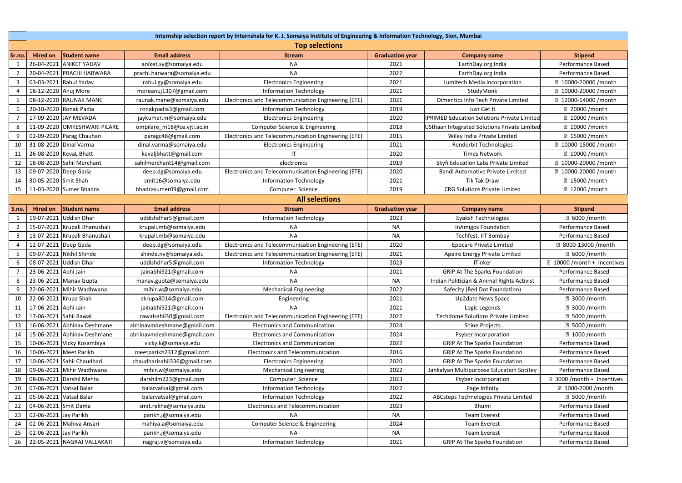|                |                        |                               |                             | Internship selection report by Internshala for K. J. Somaiya Institute of Engineering & Information Technology, Sion, Mumbai |                        |                                                    |                                    |
|----------------|------------------------|-------------------------------|-----------------------------|------------------------------------------------------------------------------------------------------------------------------|------------------------|----------------------------------------------------|------------------------------------|
|                |                        |                               |                             | <b>Top selections</b>                                                                                                        |                        |                                                    |                                    |
| Sr.no          | Hired on               | <b>Student name</b>           | <b>Email address</b>        | <b>Stream</b>                                                                                                                | <b>Graduation year</b> | <b>Company name</b>                                | <b>Stipend</b>                     |
|                | 26-04-2021             | <b>ANIKET YADAV</b>           | aniket.sy@somaiya.edu       | <b>NA</b>                                                                                                                    | 2021                   | EarthDay.org India                                 | Performance Based                  |
| $\mathbf{2}$   |                        | 20-04-2021 PRACHI HARWARA     | prachi.harwara@somaiya.edu  | <b>NA</b>                                                                                                                    | 2022                   | EarthDay.org India                                 | Performance Based                  |
| $\mathbf{3}$   |                        | 03-03-2021 Rahul Yadav        | rahul.gy@somaiya.edu        | <b>Electronics Engineering</b>                                                                                               | 2021                   | Lumitech Media Incorporation                       | <b>2 10000-20000 / month</b>       |
|                | 18-12-2020 Anuj More   |                               | moreanuj1307@gmail.com      | <b>Information Technology</b>                                                                                                | 2021                   | StudyMonk                                          | <b>2 10000-20000 / month</b>       |
|                |                        | 08-12-2020 RAUNAK MANE        | raunak.mane@somaiya.edu     | Electronics and Telecommunication Engineering (ETE)                                                                          | 2021                   | Dimentics Info Tech Private Limited                | <b>2 12000-14000 / month</b>       |
| 6              |                        | 20-10-2020 Ronak Padia        | ronakpadia3@gmail.com       | <b>Information Technology</b>                                                                                                | 2019                   | Just Get It                                        | <b>图 20000 /month</b>              |
|                |                        | 17-09-2020 JAY MEVADA         | jaykumar.m@somaiya.edu      | <b>Electronics Engineering</b>                                                                                               | 2020                   | <b>IPRIMED Education Solutions Private Limited</b> | <b>2 10000 /month</b>              |
| 8              |                        | 11-09-2020 OMKESHWARI PILARE  | ompilare_m18@ce.vjti.ac.in  | <b>Computer Science &amp; Engineering</b>                                                                                    | 2018                   | USthaan Integrated Solutions Private Limited       | <b>图 10000 /month</b>              |
|                |                        | 02-09-2020 Parag Chauhan      | paragc48@gmail.com          | Electronics and Telecommunication Engineering (ETE)                                                                          | 2015                   | Wiley India Private Limited                        | <b>2 15000 /month</b>              |
| 10             |                        | 31-08-2020 Dinal Varma        | dinal.varma@somaiya.edu     | <b>Electronics Engineering</b>                                                                                               | 2021                   | Renderbit Technologies                             | <b>2 10000-15000 /month</b>        |
| 11             |                        | 26-08-2020 KevaL Bhatt        | kevaljbhatt@gmail.com       | <b>IT</b>                                                                                                                    | 2020                   | <b>Times Network</b>                               | <b>2 10000 /month</b>              |
| 12             |                        | 18-08-2020 Sahil Merchant     | sahilmerchant14@gmail.com   | electronics                                                                                                                  | 2019                   | Skyfi Education Labs Private Limited               | <b>2 10000-20000 / month</b>       |
| 13             | 09-07-2020 Deep Gada   |                               | deep.dg@somaiya.edu         | Electronics and Telecommunication Engineering (ETE)                                                                          | 2020                   | <b>Bandi Automotive Private Limited</b>            | <b>2 10000-20000 / month</b>       |
| 14             | 30-05-2020 Smit Shah   |                               | smit16@somaiya.edu          | <b>Information Technology</b>                                                                                                | 2021                   | Tik Tak Draw                                       | <b>2 15000 / month</b>             |
| 15             |                        | 11-03-2020 Sumer Bhadra       | bhadrasumer09@gmail.com     | Computer Science                                                                                                             | 2019                   | <b>CRG Solutions Private Limited</b>               | <b>图 12000 /month</b>              |
|                |                        |                               |                             | <b>All selections</b>                                                                                                        |                        |                                                    |                                    |
| S.no.          | <b>Hired on</b>        | <b>Student name</b>           | <b>Email address</b>        | <b>Stream</b>                                                                                                                | <b>Graduation year</b> | <b>Company name</b>                                | <b>Stipend</b>                     |
|                | 19-07-2021             | Uddish Dhar                   | uddishdhar5@gmail.com       | <b>Information Technology</b>                                                                                                | 2023                   | Eyaksh Technologies                                | <b>2 6000 / month</b>              |
|                |                        | 15-07-2021 Krupali Bhanushali | krupali.mb@somaiya.edu      | <b>NA</b>                                                                                                                    | <b>NA</b>              | <b>InAmigos Foundation</b>                         | Performance Based                  |
| 3              | 13-07-2021             | Krupali Bhanushali            | krupali.mb@somaiya.edu      | <b>NA</b>                                                                                                                    | <b>NA</b>              | Techfest, IIT Bombay                               | Performance Based                  |
|                | 12-07-2021 Deep Gada   |                               | deep.dg@somaiya.edu         | Electronics and Telecommunication Engineering (ETE)                                                                          | 2020                   | <b>Epocare Private Limited</b>                     | <b>2 8000-13000 / month</b>        |
| 5 <sub>1</sub> | 09-07-2021             | Nikhil Shinde                 | shinde.nv@somaiya.edu       | Electronics and Telecommunication Engineering (ETE)                                                                          | 2021                   | Apeiro Energy Private Limited                      | <b>图 6000 /month</b>               |
| 6              |                        | 08-07-2021 Uddish Dhar        | uddishdhar5@gmail.com       | <b>Information Technology</b>                                                                                                | 2023                   | <b>ITinker</b>                                     | <b>2 10000 /month + Incentives</b> |
|                | 23-06-2021 Abhi Jain   |                               | jainabhi921@gmail.com       | <b>NA</b>                                                                                                                    | 2021                   | <b>GRIP At The Sparks Foundation</b>               | Performance Based                  |
| 8              |                        | 23-06-2021 Manav Gupta        | manav.gupta@somaiya.edu     | <b>NA</b>                                                                                                                    | NA                     | Indian Politician & Animal Rights Activist         | Performance Based                  |
|                |                        | 22-06-2021 Mihir Wadhwana     | mihir.w@somaiya.edu         | <b>Mechanical Engineering</b>                                                                                                | 2022                   | Safecity (Red Dot Foundation)                      | Performance Based                  |
| 10             | 22-06-2021 Krupa Shah  |                               | skrupa8014@gmail.com        | Engineering                                                                                                                  | 2021                   | <b>Up2date News Space</b>                          | <b>2 3000 /month</b>               |
| 11             | 17-06-2021 Abhi Jain   |                               | jainabhi921@gmail.com       | <b>NA</b>                                                                                                                    | 2021                   | Logic Legends                                      | <b>图 3000 /month</b>               |
| 12             | 17-06-2021 Sahil Rawal |                               | rawalsahil30@gmail.com      | Electronics and Telecommunication Engineering (ETE)                                                                          | 2022                   | <b>Techdome Solutions Private Limited</b>          | <b>2 5000 / month</b>              |
| 13             |                        | 16-06-2021 Abhinav Deshmane   | abhinavmdeshmane@gmail.com  | <b>Electronics and Communication</b>                                                                                         | 2024                   | <b>Shine Projects</b>                              | <b>2 5000 / month</b>              |
| 14             |                        | 15-06-2021 Abhinav Deshmane   | abhinavmdeshmane@gmail.com  | <b>Electronics and Communication</b>                                                                                         | 2024                   | Psyber Incorporation                               | <b>2 1000 /month</b>               |
| 15             |                        | 10-06-2021 Vicky Kosambiya    | vicky.k@somaiya.edu         | <b>Electronics and Communication</b>                                                                                         | 2022                   | <b>GRIP At The Sparks Foundation</b>               | Performance Based                  |
| 16             |                        | 10-06-2021 Meet Parikh        | meetparikh2312@gmail.com    | <b>Electronics and Telecommunication</b>                                                                                     | 2016                   | <b>GRIP At The Sparks Foundation</b>               | Performance Based                  |
| 17             |                        | 10-06-2021 Sahil Chaudhari    | chaudharisahil336@gmail.com | <b>Electronics Engineering</b>                                                                                               | 2020                   | <b>GRIP At The Sparks Foundation</b>               | Performance Based                  |
| 18             |                        | 09-06-2021 Mihir Wadhwana     | mihir.w@somaiya.edu         | <b>Mechanical Engineering</b>                                                                                                | 2022                   | Jankalyan Multipurpose Education Socitey           | Performance Based                  |
| 19             |                        | 08-06-2021 Darshil Mehta      | darshilm223@gmail.com       | Computer Science                                                                                                             | 2023                   | Psyber Incorporation                               | 2 3000 / month + Incentives        |
| 20             |                        | 07-06-2021 Vatsal Balar       | balarvatsal@gmail.com       | <b>Information Technology</b>                                                                                                | 2022                   | Page Infinity                                      | <b>2 1000-2000 / month</b>         |
| 21             |                        | 05-06-2021 Vatsal Balar       | balarvatsal@gmail.com       | <b>Information Technology</b>                                                                                                | 2022                   | ABCsteps Technologies Private Limited              | <b>图 5000 /month</b>               |
| 22             | 04-06-2021 Smit Dama   |                               | smit.rekha@somaiya.edu      | <b>Electronics and Telecommunication</b>                                                                                     | 2023                   | Bhumi                                              | Performance Based                  |
| 23             | 02-06-2021 Jay Parikh  |                               | parikh.j@somaiya.edu        | <b>NA</b>                                                                                                                    | NA                     | <b>Team Everest</b>                                | Performance Based                  |
| 24             |                        | 02-06-2021 Mahiya Ansari      | mahiya.a@somaiya.edu        | <b>Computer Science &amp; Engineering</b>                                                                                    | 2024                   | <b>Team Everest</b>                                | Performance Based                  |
| 25             | 02-06-2021 Jay Parikh  |                               | parikh.j@somaiya.edu        | <b>NA</b>                                                                                                                    | <b>NA</b>              | <b>Team Everest</b>                                | Performance Based                  |
| 26             |                        | 22-05-2021 NAGRAJ VALLAKATI   | nagraj.v@somaiya.edu        | <b>Information Technology</b>                                                                                                | 2021                   | <b>GRIP At The Sparks Foundation</b>               | Performance Based                  |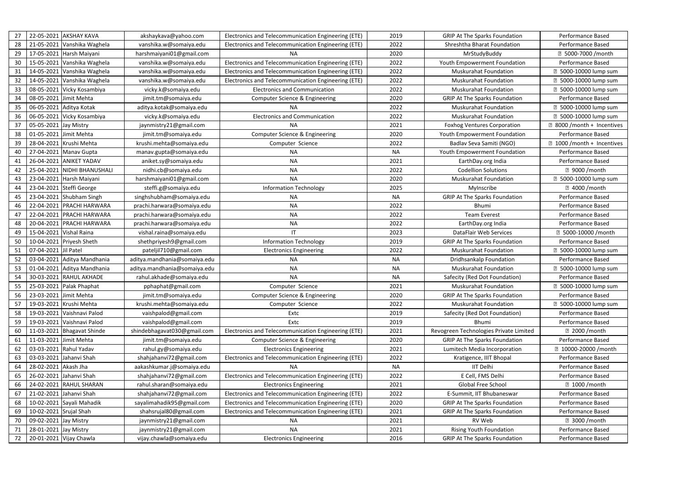| 27 |                         | 22-05-2021 AKSHAY KAVA      | akshaykava@yahoo.com         | Electronics and Telecommunication Engineering (ETE) | 2019      | <b>GRIP At The Sparks Foundation</b>   | Performance Based                     |
|----|-------------------------|-----------------------------|------------------------------|-----------------------------------------------------|-----------|----------------------------------------|---------------------------------------|
| 28 |                         | 21-05-2021 Vanshika Waghela | vanshika.w@somaiya.edu       | Electronics and Telecommunication Engineering (ETE) | 2022      | Shreshtha Bharat Foundation            | <b>Performance Based</b>              |
| 29 |                         | 17-05-2021 Harsh Maiyani    | harshmaiyani01@gmail.com     | NA                                                  | 2020      | MrStudyBuddy                           | <b>2 5000-7000 / month</b>            |
| 30 |                         | 15-05-2021 Vanshika Waghela | vanshika.w@somaiya.edu       | Electronics and Telecommunication Engineering (ETE) | 2022      | Youth Empowerment Foundation           | Performance Based                     |
| 31 |                         | 14-05-2021 Vanshika Waghela | vanshika.w@somaiya.edu       | Electronics and Telecommunication Engineering (ETE) | 2022      | <b>Muskurahat Foundation</b>           | <b>2 5000-10000 lump sum</b>          |
| 32 |                         | 14-05-2021 Vanshika Waghela | vanshika.w@somaiya.edu       | Electronics and Telecommunication Engineering (ETE) | 2022      | <b>Muskurahat Foundation</b>           | <b>2 5000-10000 lump sum</b>          |
| 33 |                         | 08-05-2021 Vicky Kosambiya  | vicky.k@somaiya.edu          | <b>Electronics and Communication</b>                | 2022      | <b>Muskurahat Foundation</b>           | 7 5000-10000 lump sum                 |
| 34 | 08-05-2021 Jimit Mehta  |                             | jimit.tm@somaiya.edu         | <b>Computer Science &amp; Engineering</b>           | 2020      | <b>GRIP At The Sparks Foundation</b>   | Performance Based                     |
| 35 |                         | 06-05-2021 Aditya Kotak     | aditya.kotak@somaiya.edu     | <b>NA</b>                                           | 2022      | <b>Muskurahat Foundation</b>           | 7 5000-10000 lump sum                 |
| 36 |                         | 06-05-2021 Vicky Kosambiya  | vicky.k@somaiya.edu          | <b>Electronics and Communication</b>                | 2022      | <b>Muskurahat Foundation</b>           | <b>2 5000-10000 lump sum</b>          |
| 37 | 05-05-2021 Jay Mistry   |                             | jaynmistry21@gmail.com       | <b>NA</b>                                           | 2021      | <b>Foxhog Ventures Corporation</b>     | <b>2 8000 /month + Incentives</b>     |
| 38 | 01-05-2021 Jimit Mehta  |                             | jimit.tm@somaiya.edu         | <b>Computer Science &amp; Engineering</b>           | 2020      | Youth Empowerment Foundation           | Performance Based                     |
| 39 |                         | 28-04-2021 Krushi Mehta     | krushi.mehta@somaiya.edu     | Computer Science                                    | 2022      | Badlav Seva Samiti (NGO)               | <b>sqrt</b> 1000 / month + Incentives |
| 40 |                         | 27-04-2021 Manav Gupta      | manav.gupta@somaiya.edu      | <b>NA</b>                                           | <b>NA</b> | Youth Empowerment Foundation           | Performance Based                     |
| 41 |                         | 26-04-2021 ANIKET YADAV     | aniket.sy@somaiya.edu        | <b>NA</b>                                           | 2021      | EarthDay.org India                     | <b>Performance Based</b>              |
| 42 |                         | 25-04-2021 NIDHI BHANUSHALI | nidhi.cb@somaiya.edu         | <b>NA</b>                                           | 2022      | <b>Codellion Solutions</b>             | <b>2 9000 / month</b>                 |
| 43 |                         | 23-04-2021 Harsh Maiyani    | harshmaiyani01@gmail.com     | <b>NA</b>                                           | 2020      | <b>Muskurahat Foundation</b>           | <b>2 5000-10000 lump sum</b>          |
| 44 |                         | 23-04-2021 Steffi George    | steffi.g@somaiya.edu         | <b>Information Technology</b>                       | 2025      | MyInscribe                             | <b>2 4000 / month</b>                 |
| 45 |                         | 23-04-2021 Shubham Singh    | singhshubham@somaiya.edu     | <b>NA</b>                                           | <b>NA</b> | <b>GRIP At The Sparks Foundation</b>   | Performance Based                     |
| 46 |                         | 22-04-2021 PRACHI HARWARA   | prachi.harwara@somaiya.edu   | <b>NA</b>                                           | 2022      | <b>Bhumi</b>                           | <b>Performance Based</b>              |
| 47 |                         | 22-04-2021 PRACHI HARWARA   | prachi.harwara@somaiya.edu   | <b>NA</b>                                           | 2022      | <b>Team Everest</b>                    | Performance Based                     |
| 48 |                         | 20-04-2021 PRACHI HARWARA   | prachi.harwara@somaiya.edu   | <b>NA</b>                                           | 2022      | EarthDay.org India                     | <b>Performance Based</b>              |
| 49 | 15-04-2021 Vishal Raina |                             | vishal.raina@somaiya.edu     | $\mathsf{I}\mathsf{T}$                              | 2023      | <b>DataFlair Web Services</b>          | <b>2 5000-10000 / month</b>           |
| 50 |                         | 10-04-2021 Priyesh Sheth    | shethpriyesh9@gmail.com      | <b>Information Technology</b>                       | 2019      | <b>GRIP At The Sparks Foundation</b>   | Performance Based                     |
| 51 | 07-04-2021 Jil Patel    |                             | pateljil710@gmail.com        | <b>Electronics Engineering</b>                      | 2022      | <b>Muskurahat Foundation</b>           | 7 5000-10000 lump sum                 |
| 52 |                         | 03-04-2021 Aditya Mandhania | aditya.mandhania@somaiya.edu | <b>NA</b>                                           | <b>NA</b> | <b>Dridhsankalp Foundation</b>         | Performance Based                     |
| 53 |                         | 01-04-2021 Aditya Mandhania | aditya.mandhania@somaiya.edu | <b>NA</b>                                           | <b>NA</b> | <b>Muskurahat Foundation</b>           | 7 5000-10000 lump sum                 |
| 54 |                         | 30-03-2021 RAHUL AKHADE     | rahul.akhade@somaiya.edu     | <b>NA</b>                                           | <b>NA</b> | Safecity (Red Dot Foundation)          | Performance Based                     |
| 55 |                         | 25-03-2021 Palak Phaphat    | pphaphat@gmail.com           | Computer Science                                    | 2021      | Muskurahat Foundation                  | <b>2 5000-10000 lump sum</b>          |
| 56 | 23-03-2021 Jimit Mehta  |                             | jimit.tm@somaiya.edu         | Computer Science & Engineering                      | 2020      | <b>GRIP At The Sparks Foundation</b>   | Performance Based                     |
| 57 |                         | 19-03-2021 Krushi Mehta     | krushi.mehta@somaiya.edu     | Computer Science                                    | 2022      | <b>Muskurahat Foundation</b>           | <b>2 5000-10000 lump sum</b>          |
| 58 |                         | 19-03-2021 Vaishnavi Palod  | vaishpalod@gmail.com         | Extc                                                | 2019      | Safecity (Red Dot Foundation)          | Performance Based                     |
| 59 |                         | 19-03-2021 Vaishnavi Palod  | vaishpalod@gmail.com         | Extc                                                | 2019      | Bhumi                                  | Performance Based                     |
| 60 |                         | 11-03-2021 Bhagavat Shinde  | shindebhagavat030@gmail.com  | Electronics and Telecommunication Engineering (ETE) | 2021      | Revogreen Technologies Private Limited | <b>2000/month</b>                     |
| 61 | 11-03-2021 Jimit Mehta  |                             | jimit.tm@somaiya.edu         | <b>Computer Science &amp; Engineering</b>           | 2020      | <b>GRIP At The Sparks Foundation</b>   | Performance Based                     |
| 62 | 03-03-2021 Rahul Yadav  |                             | rahul.gy@somaiya.edu         | <b>Electronics Engineering</b>                      | 2021      | Lumitech Media Incorporation           | <b>2 10000-20000 / month</b>          |
| 63 |                         | 03-03-2021 Jahanvi Shah     | shahjahanvi72@gmail.com      | Electronics and Telecommunication Engineering (ETE) | 2022      | Kratigence, IIIT Bhopal                | <b>Performance Based</b>              |
| 64 | 28-02-2021 Akash Jha    |                             | aakashkumar.j@somaiya.edu    | NA.                                                 | <b>NA</b> | IIT Delhi                              | Performance Based                     |
| 65 |                         | 26-02-2021 Jahanvi Shah     | shahjahanvi72@gmail.com      | Electronics and Telecommunication Engineering (ETE) | 2022      | E Cell, FMS Delhi                      | Performance Based                     |
| 66 |                         | 24-02-2021 RAHUL SHARAN     | rahul.sharan@somaiya.edu     | <b>Electronics Engineering</b>                      | 2021      | Global Free School                     | <b>2 1000 /month</b>                  |
| 67 |                         | 21-02-2021 Jahanvi Shah     | shahjahanvi72@gmail.com      | Electronics and Telecommunication Engineering (ETE) | 2022      | E-Summit, IIT Bhubaneswar              | Performance Based                     |
| 68 |                         | 10-02-2021 Sayali Mahadik   | sayalimahadik95@gmail.com    | Electronics and Telecommunication Engineering (ETE) | 2020      | <b>GRIP At The Sparks Foundation</b>   | Performance Based                     |
| 69 | 10-02-2021 Srujal Shah  |                             | shahsrujal80@gmail.com       | Electronics and Telecommunication Engineering (ETE) | 2021      | <b>GRIP At The Sparks Foundation</b>   | Performance Based                     |
| 70 | 09-02-2021 Jay Mistry   |                             | jaynmistry21@gmail.com       | <b>NA</b>                                           | 2021      | RV Web                                 | <b>2 3000 / month</b>                 |
| 71 | 28-01-2021 Jay Mistry   |                             | jaynmistry21@gmail.com       | <b>NA</b>                                           | 2021      | <b>Rising Youth Foundation</b>         | Performance Based                     |
| 72 |                         | 20-01-2021 Vijay Chawla     | vijay.chawla@somaiya.edu     | <b>Electronics Engineering</b>                      | 2016      | <b>GRIP At The Sparks Foundation</b>   | Performance Based                     |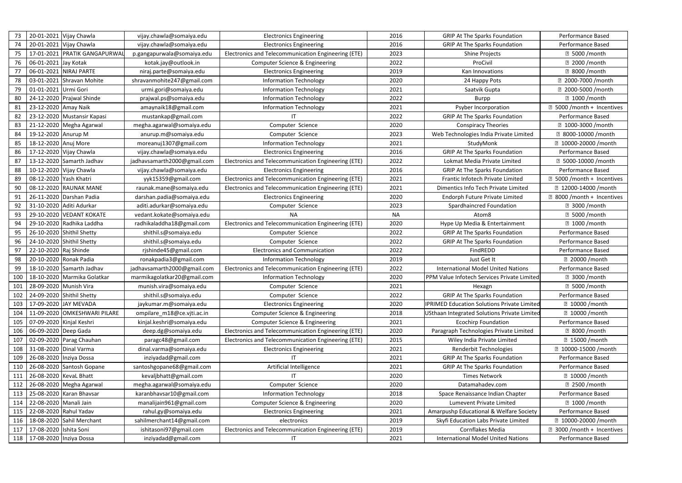| 73  |                                 | 20-01-2021 Vijay Chawla       | vijay.chawla@somaiya.edu    | <b>Electronics Engineering</b>                      | 2016      | <b>GRIP At The Sparks Foundation</b>               | Performance Based                     |
|-----|---------------------------------|-------------------------------|-----------------------------|-----------------------------------------------------|-----------|----------------------------------------------------|---------------------------------------|
| 74  |                                 | 20-01-2021 Vijay Chawla       | vijay.chawla@somaiya.edu    | <b>Electronics Engineering</b>                      | 2016      | <b>GRIP At The Sparks Foundation</b>               | Performance Based                     |
| 75  |                                 | 17-01-2021 PRATIK GANGAPURWAL | p.gangapurwala@somaiya.edu  | Electronics and Telecommunication Engineering (ETE) | 2023      | <b>Shine Projects</b>                              | <b>2 5000 / month</b>                 |
| 76  | 06-01-2021 Jay Kotak            |                               | kotak.jay@outlook.in        | <b>Computer Science &amp; Engineering</b>           | 2022      | ProCivil                                           | <b>2000 / month</b>                   |
| 77  |                                 | 06-01-2021 NIRAJ PARTE        | niraj.parte@somaiya.edu     | <b>Electronics Engineering</b>                      | 2019      | Kan Innovations                                    | <b>2 8000 / month</b>                 |
| 78  |                                 | 03-01-2021 Shravan Mohite     | shravanmohite247@gmail.com  | <b>Information Technology</b>                       | 2020      | 24 Happy Pots                                      | <b>2 2000-7000 / month</b>            |
|     | 01-01-2021 Urmi Gori            |                               | urmi.gori@somaiya.edu       | <b>Information Technology</b>                       | 2021      | Saatvik Gupta                                      | <b>2000-5000 /month</b>               |
| 80  |                                 | 24-12-2020 Prajwal Shinde     | prajwal.ps@somaiya.edu      | <b>Information Technology</b>                       | 2022      | Burpp                                              | <b>2 1000 / month</b>                 |
| 81  | 23-12-2020 Amay Naik            |                               | amaynaik18@gmail.com        | <b>Information Technology</b>                       | 2021      | Psyber Incorporation                               | sqrt 5000 / month + Incentives        |
| 82  |                                 | 23-12-2020 Mustansir Kapasi   | mustankap@gmail.com         |                                                     | 2022      | <b>GRIP At The Sparks Foundation</b>               | Performance Based                     |
| 83  |                                 | 21-12-2020 Megha Agarwal      | megha.agarwal@somaiya.edu   | Computer Science                                    | 2020      | <b>Conspiracy Theories</b>                         | <b>2 1000-3000 / month</b>            |
| 84  | 19-12-2020 Anurup M             |                               | anurup.m@somaiya.edu        | Computer Science                                    | 2023      | Web Technologies India Private Limited             | <b>2 8000-10000 / month</b>           |
| 85  | 18-12-2020 Anuj More            |                               | moreanuj1307@gmail.com      | <b>Information Technology</b>                       | 2021      | StudyMonk                                          | <b>2 10000-20000 / month</b>          |
| 86  |                                 | 17-12-2020 Vijay Chawla       | vijay.chawla@somaiya.edu    | <b>Electronics Engineering</b>                      | 2016      | <b>GRIP At The Sparks Foundation</b>               | Performance Based                     |
| 87  |                                 | 13-12-2020 Samarth Jadhav     | jadhavsamarth2000@gmail.com | Electronics and Telecommunication Engineering (ETE) | 2022      | Lokmat Media Private Limited                       | <b>2 5000-10000 / month</b>           |
| 88  |                                 | 10-12-2020 Vijay Chawla       | vijay.chawla@somaiya.edu    | <b>Electronics Engineering</b>                      | 2016      | <b>GRIP At The Sparks Foundation</b>               | Performance Based                     |
| 89  | 08-12-2020 Yash Khatri          |                               | yyk15359@gmail.com          | Electronics and Telecommunication Engineering (ETE) | 2021      | Frantic Infotech Private Limited                   | <b>sqrt</b> 5000 / month + Incentives |
| 90  |                                 | 08-12-2020 RAUNAK MANE        | raunak.mane@somaiya.edu     | Electronics and Telecommunication Engineering (ETE) | 2021      | Dimentics Info Tech Private Limited                | <b>■ 12000-14000 /month</b>           |
| 91  |                                 | 26-11-2020 Darshan Padia      | darshan.padia@somaiya.edu   | <b>Electronics Engineering</b>                      | 2020      | Endorph Future Private Limited                     | <b>2 8000 /month + Incentives</b>     |
| 92  |                                 | 31-10-2020 Aditi Adurkar      | aditi.adurkar@somaiya.edu   | Computer Science                                    | 2023      | Spardhaincred Foundation                           | <b>2 3000 / month</b>                 |
| 93  |                                 | 29-10-2020 VEDANT KOKATE      | vedant.kokate@somaiya.edu   | <b>NA</b>                                           | <b>NA</b> | Atom8                                              | <b>图 5000 /month</b>                  |
| 94  |                                 | 29-10-2020 Radhika Laddha     | radhikaladdha18@gmail.com   | Electronics and Telecommunication Engineering (ETE) | 2020      | Hype Up Media & Entertainment                      | <b>2 1000 /month</b>                  |
| 95  |                                 | 26-10-2020 Shithil Shetty     | shithil.s@somaiya.edu       | Computer Science                                    | 2022      | <b>GRIP At The Sparks Foundation</b>               | Performance Based                     |
| 96  |                                 | 24-10-2020 Shithil Shetty     | shithil.s@somaiya.edu       | Computer Science                                    | 2022      | <b>GRIP At The Sparks Foundation</b>               | Performance Based                     |
| 97  | 22-10-2020 Raj Shinde           |                               | rjshinde45@gmail.com        | <b>Electronics and Communication</b>                | 2022      | FindREDD                                           | Performance Based                     |
| 98  |                                 | 20-10-2020 Ronak Padia        | ronakpadia3@gmail.com       | <b>Information Technology</b>                       | 2019      | Just Get It                                        | <b>图 20000 / month</b>                |
| 99  |                                 | 18-10-2020 Samarth Jadhav     | jadhavsamarth2000@gmail.com | Electronics and Telecommunication Engineering (ETE) | 2022      | <b>International Model United Nations</b>          | Performance Based                     |
| 100 |                                 | 18-10-2020 Marmika Golatkar   | marmikagolatkar20@gmail.com | <b>Information Technology</b>                       | 2020      | PPM Value Infotech Services Private Limited        | <b>2 3000 / month</b>                 |
| 101 |                                 | 28-09-2020 Munish Vira        | munish.vira@somaiya.edu     | Computer Science                                    | 2021      | Hexagn                                             | <b>2 5000 / month</b>                 |
| 102 |                                 | 24-09-2020 Shithil Shetty     | shithil.s@somaiya.edu       | Computer Science                                    | 2022      | <b>GRIP At The Sparks Foundation</b>               | Performance Based                     |
| 103 |                                 | 17-09-2020 JAY MEVADA         | jaykumar.m@somaiya.edu      | <b>Electronics Engineering</b>                      | 2020      | <b>IPRIMED Education Solutions Private Limited</b> | <b>2 10000 / month</b>                |
| 104 |                                 | 11-09-2020 OMKESHWARI PILARE  | ompilare_m18@ce.vjti.ac.in  | Computer Science & Engineering                      | 2018      | USthaan Integrated Solutions Private Limited       | <b>2 10000 / month</b>                |
| 105 |                                 | 07-09-2020 Kinjal Keshri      | kinjal.keshri@somaiya.edu   | Computer Science & Engineering                      | 2021      | <b>Ecochirp Foundation</b>                         | Performance Based                     |
| 106 | 06-09-2020 Deep Gada            |                               | deep.dg@somaiya.edu         | Electronics and Telecommunication Engineering (ETE) | 2020      | Paragraph Technologies Private Limited             | <b>2 8000 / month</b>                 |
| 107 |                                 | 02-09-2020 Parag Chauhan      | paragc48@gmail.com          | Electronics and Telecommunication Engineering (ETE) | 2015      | Wiley India Private Limited                        | <b>2 15000 / month</b>                |
| 108 | 31-08-2020 Dinal Varma          |                               | dinal.varma@somaiya.edu     | <b>Electronics Engineering</b>                      | 2021      | Renderbit Technologies                             | <b>2 10000-15000 / month</b>          |
| 109 |                                 | 26-08-2020 Inziya Dossa       | inziyadad@gmail.com         | IT                                                  | 2021      | <b>GRIP At The Sparks Foundation</b>               | Performance Based                     |
| 110 |                                 | 26-08-2020 Santosh Gopane     | santoshgopane68@gmail.com   | Artificial Intelligence                             | 2021      | <b>GRIP At The Sparks Foundation</b>               | Performance Based                     |
| 111 | 26-08-2020 KevaL Bhatt          |                               | kevaljbhatt@gmail.com       | $\mathsf{I}\mathsf{T}$                              | 2020      | <b>Times Network</b>                               | <b>2 10000 /month</b>                 |
| 112 |                                 | 26-08-2020 Megha Agarwal      | megha.agarwal@somaiya.edu   | Computer Science                                    | 2020      | Datamahadev.com                                    | <b>图 2500 /month</b>                  |
| 113 |                                 | 25-08-2020 Karan Bhavsar      | karanbhavsar10@gmail.com    | <b>Information Technology</b>                       | 2018      | Space Renaissance Indian Chapter                   | Performance Based                     |
| 114 | 22-08-2020 Manali Jain          |                               | manalijain961@gmail.com     | <b>Computer Science &amp; Engineering</b>           | 2020      | Lumevent Private Limited                           | <b>图 1000 /month</b>                  |
| 115 |                                 | 22-08-2020 Rahul Yadav        | rahul.gy@somaiya.edu        | <b>Electronics Engineering</b>                      | 2021      | Amarpushp Educational & Welfare Society            | Performance Based                     |
| 116 |                                 | 18-08-2020 Sahil Merchant     | sahilmerchant14@gmail.com   | electronics                                         | 2019      | Skyfi Education Labs Private Limited               | <b>2 10000-20000 / month</b>          |
| 117 | 17-08-2020 Ishita Soni          |                               | ishitasoni97@gmail.com      | Electronics and Telecommunication Engineering (ETE) | 2019      | Cornflakes Media                                   | <b>2 3000 / month + Incentives</b>    |
|     | 118   17-08-2020   Inziya Dossa |                               | inziyadad@gmail.com         | IT                                                  | 2021      | <b>International Model United Nations</b>          | Performance Based                     |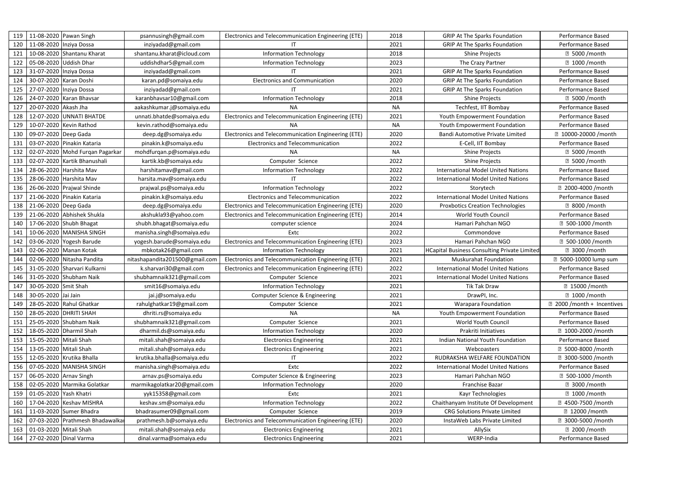| 119 |                        | 11-08-2020 Pawan Singh          | psannusingh@gmail.com          | Electronics and Telecommunication Engineering (ETE) | 2018      | <b>GRIP At The Sparks Foundation</b>                | Performance Based            |
|-----|------------------------|---------------------------------|--------------------------------|-----------------------------------------------------|-----------|-----------------------------------------------------|------------------------------|
| 120 |                        | 11-08-2020 Inziya Dossa         | inziyadad@gmail.com            | ΙT                                                  | 2021      | <b>GRIP At The Sparks Foundation</b>                | Performance Based            |
| 121 |                        | 10-08-2020 Shantanu Kharat      | shantanu.kharat@icloud.com     | <b>Information Technology</b>                       | 2018      | <b>Shine Projects</b>                               | <b>2 5000 / month</b>        |
| 122 |                        | 05-08-2020 Uddish Dhar          | uddishdhar5@gmail.com          | <b>Information Technology</b>                       | 2023      | The Crazy Partner                                   | <b>2 1000 / month</b>        |
| 123 |                        | 31-07-2020 Inziya Dossa         | inziyadad@gmail.com            |                                                     | 2021      | <b>GRIP At The Sparks Foundation</b>                | Performance Based            |
| 124 |                        | 30-07-2020 Karan Doshi          | karan.pd@somaiya.edu           | <b>Electronics and Communication</b>                | 2020      | <b>GRIP At The Sparks Foundation</b>                | Performance Based            |
| 125 |                        | 27-07-2020 Inziya Dossa         | inziyadad@gmail.com            |                                                     | 2021      | <b>GRIP At The Sparks Foundation</b>                | Performance Based            |
| 126 |                        | 24-07-2020 Karan Bhavsar        | karanbhavsar10@gmail.com       | <b>Information Technology</b>                       | 2018      | <b>Shine Projects</b>                               | <b>2 5000 / month</b>        |
| 127 | 20-07-2020 Akash Jha   |                                 | aakashkumar.j@somaiya.edu      | <b>NA</b>                                           | NA        | Techfest, IIT Bombay                                | Performance Based            |
| 128 |                        | 12-07-2020 UNNATI BHATDE        | unnati.bhatde@somaiya.edu      | Electronics and Telecommunication Engineering (ETE) | 2021      | Youth Empowerment Foundation                        | Performance Based            |
| 129 |                        | 10-07-2020 Kevin Rathod         | kevin.rathod@somaiya.edu       | <b>NA</b>                                           | <b>NA</b> | Youth Empowerment Foundation                        | Performance Based            |
| 130 | 09-07-2020 Deep Gada   |                                 | deep.dg@somaiya.edu            | Electronics and Telecommunication Engineering (ETE) | 2020      | Bandi Automotive Private Limited                    | <b>2 10000-20000 / month</b> |
| 131 |                        | 03-07-2020 Pinakin Kataria      | pinakin.k@somaiya.edu          | <b>Electronics and Telecommunication</b>            | 2022      | E-Cell, IIT Bombay                                  | Performance Based            |
| 132 |                        | 02-07-2020 Mohd Furgan Pagarkar | mohdfurqan.p@somaiya.edu       | <b>NA</b>                                           | NA        | <b>Shine Projects</b>                               | <b>2 5000 / month</b>        |
| 133 |                        | 02-07-2020 Kartik Bhanushali    | kartik.kb@somaiya.edu          | Computer Science                                    | 2022      | <b>Shine Projects</b>                               | <b>2 5000 / month</b>        |
| 134 |                        | 28-06-2020 Harshita Mav         | harshitamav@gmail.com          | <b>Information Technology</b>                       | 2022      | <b>International Model United Nations</b>           | Performance Based            |
| 135 |                        | 28-06-2020 Harshita Mav         | harsita.mav@somaiya.edu        | IT.                                                 | 2022      | <b>International Model United Nations</b>           | Performance Based            |
| 136 |                        | 26-06-2020 Prajwal Shinde       | prajwal.ps@somaiya.edu         | <b>Information Technology</b>                       | 2022      | Storytech                                           | <b>2000-4000 /month</b>      |
| 137 |                        | 21-06-2020 Pinakin Kataria      | pinakin.k@somaiya.edu          | <b>Electronics and Telecommunication</b>            | 2022      | <b>International Model United Nations</b>           | Performance Based            |
| 138 | 21-06-2020 Deep Gada   |                                 | deep.dg@somaiya.edu            | Electronics and Telecommunication Engineering (ETE) | 2020      | <b>Proxbotics Creation Technologies</b>             | <b>2 8000 / month</b>        |
| 139 |                        | 21-06-2020 Abhishek Shukla      | akshukla93@yahoo.com           | Electronics and Telecommunication Engineering (ETE) | 2014      | World Youth Council                                 | Performance Based            |
| 140 |                        | 17-06-2020 Shubh Bhagat         | shubh.bhagat@somaiya.edu       | computer science                                    | 2024      | Hamari Pahchan NGO                                  | <b>□ 500-1000 /month</b>     |
| 141 |                        | 10-06-2020 MANISHA SINGH        | manisha.singh@somaiya.edu      | Extc                                                | 2022      | Commondove                                          | Performance Based            |
|     |                        |                                 |                                |                                                     | 2023      | Hamari Pahchan NGO                                  |                              |
| 142 |                        | 03-06-2020 Yogesh Barude        | yogesh.barude@somaiya.edu      | Electronics and Telecommunication Engineering (ETE) |           |                                                     | <b>□ 500-1000 /month</b>     |
| 143 |                        | 02-06-2020 Manan Kotak          | mbkotak26@gmail.com            | <b>Information Technology</b>                       | 2021      | <b>HCapital Business Consulting Private Limited</b> | <b>2 3000 / month</b>        |
| 144 |                        | 02-06-2020 Nitasha Pandita      | nitashapandita201500@gmail.com | Electronics and Telecommunication Engineering (ETE) | 2021      | <b>Muskurahat Foundation</b>                        | 7 5000-10000 lump sum        |
| 145 |                        | 31-05-2020 Sharvari Kulkarni    | k.sharvari30@gmail.com         | Electronics and Telecommunication Engineering (ETE) | 2022      | <b>International Model United Nations</b>           | Performance Based            |
| 146 |                        | 31-05-2020 Shubham Naik         | shubhamnaik321@gmail.com       | Computer Science                                    | 2021      | <b>International Model United Nations</b>           | Performance Based            |
| 147 | 30-05-2020 Smit Shah   |                                 | smit16@somaiya.edu             | <b>Information Technology</b>                       | 2021      | Tik Tak Draw                                        | <b>2 15000 / month</b>       |
| 148 | 30-05-2020 Jai Jain    |                                 | jai.j@somaiya.edu              | Computer Science & Engineering                      | 2021      | DrawPI, Inc.                                        | <b>2 1000 / month</b>        |
| 149 |                        | 28-05-2020 Rahul Ghatkar        | rahulghatkar19@gmail.com       | Computer Science                                    | 2021      | <b>Warapara Foundation</b>                          | 2 2000 / month + Incentives  |
| 150 |                        | 28-05-2020 DHRITI SHAH          | dhriti.rs@somaiya.edu          | <b>NA</b>                                           | <b>NA</b> | Youth Empowerment Foundation                        | Performance Based            |
| 151 |                        | 25-05-2020 Shubham Naik         | shubhamnaik321@gmail.com       | Computer Science                                    | 2021      | World Youth Council                                 | Performance Based            |
| 152 |                        | 18-05-2020 Dharmil Shah         | dharmil.ds@somaiya.edu         | <b>Information Technology</b>                       | 2020      | Prakriti Initiatives                                | <b>2 1000-2000 / month</b>   |
| 153 | 15-05-2020 Mitali Shah |                                 | mitali.shah@somaiya.edu        | <b>Electronics Engineering</b>                      | 2021      | Indian National Youth Foundation                    | Performance Based            |
| 154 | 13-05-2020 Mitali Shah |                                 | mitali.shah@somaiya.edu        | <b>Electronics Engineering</b>                      | 2021      | Webcoasters                                         | <b>2 5000-8000 / month</b>   |
| 155 |                        | 12-05-2020 Krutika Bhalla       | krutika.bhalla@somaiya.edu     | IT                                                  | 2022      | RUDRAKSHA WELFARE FOUNDATION                        | <b>2 3000-5000 / month</b>   |
| 156 |                        | 07-05-2020 MANISHA SINGH        | manisha.singh@somaiya.edu      | Extc                                                | 2022      | <b>International Model United Nations</b>           | Performance Based            |
| 157 | 06-05-2020 Arnav Singh |                                 | arnav.ps@somaiya.edu           | <b>Computer Science &amp; Engineering</b>           | 2023      | Hamari Pahchan NGO                                  | <b>图 500-1000 / month</b>    |
| 158 |                        | 02-05-2020 Marmika Golatkar     | marmikagolatkar20@gmail.com    | <b>Information Technology</b>                       | 2020      | Franchise Bazar                                     | <b>2 3000 / month</b>        |
| 159 | 01-05-2020 Yash Khatri |                                 | yyk15358@gmail.com             | Extc                                                | 2021      | Kayr Technologies                                   | <b>图 1000 /month</b>         |
| 160 |                        | 17-04-2020 Keshav MISHRA        | keshav.sm@somaiya.edu          | <b>Information Technology</b>                       | 2022      | Chaithanyam Institute Of Development                | <b>24500-7500/month</b>      |
| 161 |                        | 11-03-2020 Sumer Bhadra         | bhadrasumer09@gmail.com        | Computer Science                                    | 2019      | <b>CRG Solutions Private Limited</b>                | <b>2 12000 / month</b>       |
| 162 |                        | 07-03-2020 Prathmesh Bhadawalka | prathmesh.b@somaiya.edu        | Electronics and Telecommunication Engineering (ETE) | 2020      | InstaWeb Labs Private Limited                       | <b>2 3000-5000 / month</b>   |
| 163 | 01-03-2020 Mitali Shah |                                 | mitali.shah@somaiya.edu        | <b>Electronics Engineering</b>                      | 2021      | AllySix                                             | <b>图 2000 /month</b>         |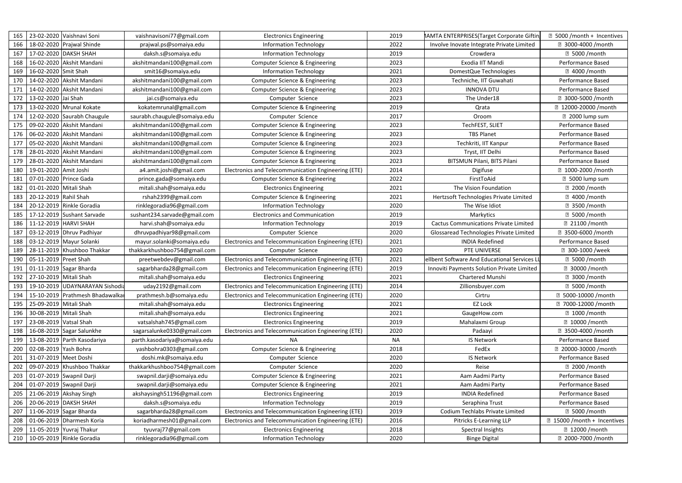| 165 |                        | 23-02-2020 Vaishnavi Soni       | vaishnavisoni77@gmail.com    | <b>Electronics Engineering</b>                      | 2019 | AMTA ENTERPRISES(Target Corporate Giftir     | sqrt 5000 / month + Incentives |
|-----|------------------------|---------------------------------|------------------------------|-----------------------------------------------------|------|----------------------------------------------|--------------------------------|
| 166 |                        | 18-02-2020 Prajwal Shinde       | prajwal.ps@somaiya.edu       | <b>Information Technology</b>                       | 2022 | Involve Inovate Integrate Private Limited    | <b>2 3000-4000 / month</b>     |
| 167 |                        | 17-02-2020 DAKSH SHAH           | daksh.s@somaiya.edu          | <b>Information Technology</b>                       | 2019 | Crowdera                                     | <b>2 5000 /month</b>           |
| 168 |                        | 16-02-2020 Akshit Mandani       | akshitmandani100@gmail.com   | Computer Science & Engineering                      | 2023 | Exodia IIT Mandi                             | Performance Based              |
| 169 | 16-02-2020 Smit Shah   |                                 | smit16@somaiya.edu           | <b>Information Technology</b>                       | 2021 | DomestQue Technologies                       | <b>2 4000 / month</b>          |
| 170 |                        | 14-02-2020 Akshit Mandani       | akshitmandani100@gmail.com   | Computer Science & Engineering                      | 2023 | Techniche, IIT Guwahati                      | Performance Based              |
| 171 |                        | 14-02-2020 Akshit Mandani       | akshitmandani100@gmail.com   | Computer Science & Engineering                      | 2023 | <b>INNOVA DTU</b>                            | Performance Based              |
| 172 | 13-02-2020 Jai Shah    |                                 | jai.cs@somaiya.edu           | Computer Science                                    | 2023 | The Under18                                  | <b>2 3000-5000 / month</b>     |
| 173 |                        | 13-02-2020 Mrunal Kokate        | kokatemrunal@gmail.com       | <b>Computer Science &amp; Engineering</b>           | 2019 | Qrata                                        | <b>2 12000-20000 / month</b>   |
| 174 |                        | 12-02-2020 Saurabh Chaugule     | saurabh.chaugule@somaiya.edu | Computer Science                                    | 2017 | Oroom                                        | 2000 lump sum                  |
| 175 |                        | 09-02-2020 Akshit Mandani       | akshitmandani100@gmail.com   | Computer Science & Engineering                      | 2023 | TechFEST, SLIET                              | Performance Based              |
| 176 |                        | 06-02-2020 Akshit Mandani       | akshitmandani100@gmail.com   | Computer Science & Engineering                      | 2023 | <b>TBS Planet</b>                            | Performance Based              |
| 177 |                        | 05-02-2020 Akshit Mandani       | akshitmandani100@gmail.com   | <b>Computer Science &amp; Engineering</b>           | 2023 | Techkriti, IIT Kanpur                        | Performance Based              |
| 178 |                        | 28-01-2020 Akshit Mandani       | akshitmandani100@gmail.com   | Computer Science & Engineering                      | 2023 | Tryst, IIT Delhi                             | Performance Based              |
| 179 |                        | 28-01-2020 Akshit Mandani       | akshitmandani100@gmail.com   | <b>Computer Science &amp; Engineering</b>           | 2023 | BITSMUN Pilani, BITS Pilani                  | Performance Based              |
| 180 | 19-01-2020 Amit Joshi  |                                 | a4.amit.joshi@gmail.com      | Electronics and Telecommunication Engineering (ETE) | 2014 | Digifuse                                     | <b>2 1000-2000 / month</b>     |
| 181 | 07-01-2020 Prince Gada |                                 | prince.gada@somaiya.edu      | Computer Science & Engineering                      | 2022 | FirstToAid                                   | 2 5000 lump sum                |
| 182 | 01-01-2020 Mitali Shah |                                 | mitali.shah@somaiya.edu      | <b>Electronics Engineering</b>                      | 2021 | The Vision Foundation                        | <b>2000 /month</b>             |
| 183 | 20-12-2019 Rahil Shah  |                                 | rshah2399@gmail.com          | <b>Computer Science &amp; Engineering</b>           | 2021 | Hertzsoft Technologies Private Limited       | <b>图 4000 /month</b>           |
| 184 |                        | 20-12-2019 Rinkle Goradia       | rinklegoradia96@gmail.com    | <b>Information Technology</b>                       | 2020 | The Wise Idiot                               | <b>23500/month</b>             |
| 185 |                        | 17-12-2019 Sushant Sarvade      | sushant234.sarvade@gmail.com | <b>Electronics and Communication</b>                | 2019 | Markytics                                    | <b>2 5000 /month</b>           |
| 186 |                        | 11-12-2019 HARVI SHAH           | harvi.shah@somaiya.edu       | <b>Information Technology</b>                       | 2019 | <b>Cactus Communications Private Limited</b> | <b>21100 /month</b>            |
| 187 |                        | 03-12-2019 Dhruv Padhiyar       | dhruvpadhiyar98@gmail.com    | Computer Science                                    | 2020 | Glossaread Technologies Private Limited      | <b>2 3500-6000 / month</b>     |
| 188 |                        | 03-12-2019 Mayur Solanki        | mayur.solanki@somaiya.edu    | Electronics and Telecommunication Engineering (ETE) | 2021 | <b>INDIA Redefined</b>                       | Performance Based              |
| 189 |                        | 28-11-2019 Khushboo Thakkar     | thakkarkhushboo754@gmail.com | Computer Science                                    | 2020 | PTE UNIVERSE                                 | <b>图 300-1000 /week</b>        |
| 190 | 05-11-2019 Preet Shah  |                                 | preetwebdev@gmail.com        | Electronics and Telecommunication Engineering (ETE) | 2021 | ellbent Software And Educational Services L  | <b>2 5000 /month</b>           |
| 191 |                        | 01-11-2019 Sagar Bharda         | sagarbharda28@gmail.com      | Electronics and Telecommunication Engineering (ETE) | 2019 | Innoviti Payments Solution Private Limited   | <b>2 30000 /month</b>          |
| 192 | 27-10-2019 Mitali Shah |                                 | mitali.shah@somaiya.edu      | <b>Electronics Engineering</b>                      | 2021 | <b>Chartered Munshi</b>                      | <b>2 3000 / month</b>          |
| 193 |                        | 19-10-2019 UDAYNARAYAN Sishodia | uday2192@gmail.com           | Electronics and Telecommunication Engineering (ETE) | 2014 | Zillionsbuyer.com                            | <b>2 5000 / month</b>          |
| 194 |                        | 15-10-2019 Prathmesh Bhadawalka | prathmesh.b@somaiya.edu      | Electronics and Telecommunication Engineering (ETE) | 2020 | Cirtru                                       | <b>■ 5000-10000 /month</b>     |
| 195 | 25-09-2019 Mitali Shah |                                 | mitali.shah@somaiya.edu      | <b>Electronics Engineering</b>                      | 2021 | <b>EZ Lock</b>                               | <b>2 7000-12000 / month</b>    |
| 196 | 30-08-2019 Mitali Shah |                                 | mitali.shah@somaiya.edu      | <b>Electronics Engineering</b>                      | 2021 | GaugeHow.com                                 | <b>2 1000 /month</b>           |
| 197 | 23-08-2019 Vatsal Shah |                                 | vatsalshah745@gmail.com      | <b>Electronics Engineering</b>                      | 2019 | Mahalaxmi Group                              | <b>2 10000 / month</b>         |
| 198 |                        | 16-08-2019 Sagar Salunkhe       | sagarsalunke0330@gmail.com   | Electronics and Telecommunication Engineering (ETE) | 2020 | Padaayi                                      | <b>2 3500-4000 / month</b>     |
| 199 |                        | 13-08-2019 Parth Kasodariya     | parth.kasodariya@somaiya.edu | <b>NA</b>                                           | NA   | <b>IS Network</b>                            | Performance Based              |
| 200 | 02-08-2019 Yash Bohra  |                                 | yashbohra0303@gmail.com      | Computer Science & Engineering                      | 2018 | FedEx                                        | <b>20000-30000 / month</b>     |
| 201 | 31-07-2019 Meet Doshi  |                                 | doshi.mk@somaiya.edu         | Computer Science                                    | 2020 | <b>IS Network</b>                            | Performance Based              |
| 202 |                        | 09-07-2019 Khushboo Thakkar     | thakkarkhushboo754@gmail.com | Computer Science                                    | 2020 | Reise                                        | <b>2000/month</b>              |
| 203 |                        | 01-07-2019 Swapnil Darji        | swapnil.darji@somaiya.edu    | <b>Computer Science &amp; Engineering</b>           | 2021 | Aam Aadmi Party                              | Performance Based              |
| 204 |                        | 01-07-2019 Swapnil Darji        | swapnil.darji@somaiya.edu    | <b>Computer Science &amp; Engineering</b>           | 2021 | Aam Aadmi Party                              | Performance Based              |
| 205 |                        | 21-06-2019 Akshay Singh         | akshaysingh51196@gmail.com   | <b>Electronics Engineering</b>                      | 2019 | <b>INDIA Redefined</b>                       | Performance Based              |
| 206 |                        | 20-06-2019 DAKSH SHAH           | daksh.s@somaiya.edu          | <b>Information Technology</b>                       | 2019 | Seraphina Trust                              | Performance Based              |
| 207 |                        | 11-06-2019 Sagar Bharda         | sagarbharda28@gmail.com      | Electronics and Telecommunication Engineering (ETE) | 2019 | Codium Techlabs Private Limited              | <b>2 5000 / month</b>          |
| 208 |                        | 01-06-2019 Dharmesh Koria       | koriadharmesh01@gmail.com    | Electronics and Telecommunication Engineering (ETE) | 2016 | Pitricks E-Learning LLP                      | 2 15000 / month + Incentives   |
| 209 |                        | 11-05-2019 Yuvraj Thakur        | tyuvraj77@gmail.com          | <b>Electronics Engineering</b>                      | 2018 | <b>Spectral Insights</b>                     | <b>2 12000 / month</b>         |
| 210 |                        | 10-05-2019 Rinkle Goradia       | rinklegoradia96@gmail.com    | <b>Information Technology</b>                       | 2020 | <b>Binge Digital</b>                         | <b>2 2000-7000 / month</b>     |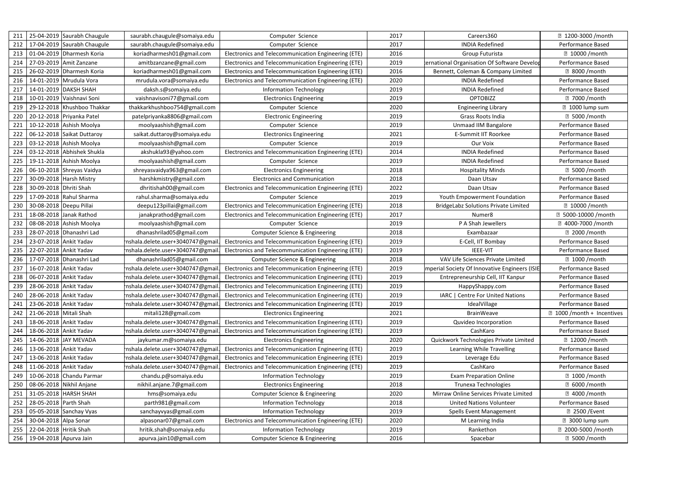| 211<br>212 |                          | 25-04-2019 Saurabh Chaugule<br>17-04-2019 Saurabh Chaugule | saurabh.chaugule@somaiya.edu<br>saurabh.chaugule@somaiya.edu | Computer Science<br>Computer Science                | 2017<br>2017 | Careers360<br><b>INDIA Redefined</b>          | <b>2 1200-3000 / month</b><br>Performance Based |
|------------|--------------------------|------------------------------------------------------------|--------------------------------------------------------------|-----------------------------------------------------|--------------|-----------------------------------------------|-------------------------------------------------|
| 213        |                          | 01-04-2019 Dharmesh Koria                                  |                                                              |                                                     |              |                                               |                                                 |
|            |                          | 27-03-2019 Amit Zanzane                                    | koriadharmesh01@gmail.com                                    | Electronics and Telecommunication Engineering (ETE) | 2016         | Group Futurista                               | <b>2 10000 /month</b><br>Performance Based      |
| 214        |                          |                                                            | amitbzanzane@gmail.com                                       | Electronics and Telecommunication Engineering (ETE) | 2019         | ernational Organisation Of Software Develop   |                                                 |
| 215        |                          | 26-02-2019 Dharmesh Koria                                  | koriadharmesh01@gmail.com                                    | Electronics and Telecommunication Engineering (ETE) | 2016         | Bennett, Coleman & Company Limited            | <b>2 8000 / month</b>                           |
| 216        |                          | 14-01-2019 Mrudula Vora                                    | mrudula.vora@somaiya.edu                                     | Electronics and Telecommunication Engineering (ETE) | 2020         | <b>INDIA Redefined</b>                        | Performance Based                               |
| 217        |                          | 14-01-2019 DAKSH SHAH                                      | daksh.s@somaiya.edu                                          | <b>Information Technology</b>                       | 2019         | <b>INDIA Redefined</b>                        | Performance Based                               |
| 218        |                          | 10-01-2019 Vaishnavi Soni                                  | vaishnavisoni77@gmail.com                                    | <b>Electronics Engineering</b>                      | 2019         | <b>OPTOBIZZ</b>                               | <b>■ 7000 /month</b>                            |
| 219        |                          | 29-12-2018 Khushboo Thakkar                                | thakkarkhushboo754@gmail.com                                 | Computer Science                                    | 2020         | <b>Engineering Library</b>                    | 7 1000 lump sum                                 |
| 220        |                          | 20-12-2018 Priyanka Patel                                  | patelpriyanka8806@gmail.com                                  | <b>Electronic Engineering</b>                       | 2019         | <b>Grass Roots India</b>                      | <b>2 5000 / month</b>                           |
| 221        |                          | 10-12-2018 Ashish Moolya                                   | moolyaashish@gmail.com                                       | Computer Science                                    | 2019         | <b>Unmaad IIM Bangalore</b>                   | Performance Based                               |
| 222        |                          | 06-12-2018 Saikat Duttaroy                                 | saikat.duttaroy@somaiya.edu                                  | <b>Electronics Engineering</b>                      | 2021         | <b>E-Summit IIT Roorkee</b>                   | Performance Based                               |
| 223        |                          | 03-12-2018 Ashish Moolya                                   | moolyaashish@gmail.com                                       | Computer Science                                    | 2019         | Our Voix                                      | Performance Based                               |
| 224        |                          | 03-12-2018 Abhishek Shukla                                 | akshukla93@yahoo.com                                         | Electronics and Telecommunication Engineering (ETE) | 2014         | <b>INDIA Redefined</b>                        | Performance Based                               |
| 225        |                          | 19-11-2018 Ashish Moolya                                   | moolyaashish@gmail.com                                       | Computer Science                                    | 2019         | <b>INDIA Redefined</b>                        | Performance Based                               |
| 226        |                          | 06-10-2018 Shreyas Vaidya                                  | shreyasvaidya963@gmail.com                                   | <b>Electronics Engineering</b>                      | 2018         | <b>Hospitality Minds</b>                      | <b>图 5000 /month</b>                            |
| 227        |                          | 30-09-2018 Harsh Mistry                                    | harshkmistry@gmail.com                                       | <b>Electronics and Communication</b>                | 2018         | Daan Utsav                                    | Performance Based                               |
| 228        | 30-09-2018   Dhriti Shah |                                                            | dhritishah00@gmail.com                                       | Electronics and Telecommunication Engineering (ETE) | 2022         | Daan Utsav                                    | <b>Performance Based</b>                        |
| 229        |                          | 17-09-2018 Rahul Sharma                                    | rahul.sharma@somaiya.edu                                     | Computer Science                                    | 2019         | Youth Empowerment Foundation                  | Performance Based                               |
| 230        | 30-08-2018 Deepu Pillai  |                                                            | deepu123pillai@gmail.com                                     | Electronics and Telecommunication Engineering (ETE) | 2018         | <b>BridgeLabz Solutions Private Limited</b>   | <b>2 10000 /month</b>                           |
| 231        |                          | 18-08-2018 Janak Rathod                                    | janakprathod@gmail.com                                       | Electronics and Telecommunication Engineering (ETE) | 2017         | Numer8                                        | <b>2 5000-10000 / month</b>                     |
| 232        |                          | 08-08-2018 Ashish Moolya                                   | moolyaashish@gmail.com                                       | Computer Science                                    | 2019         | P A Shah Jewellers                            | <b>2 4000-7000 / month</b>                      |
| 233        |                          | 28-07-2018 Dhanashri Lad                                   | dhanashrilad05@gmail.com                                     | <b>Computer Science &amp; Engineering</b>           | 2018         | Exambazaar                                    | <b>2000/month</b>                               |
| 234        | 23-07-2018 Ankit Yadav   |                                                            | nshala.delete.user+3040747@gmai                              | Electronics and Telecommunication Engineering (ETE) | 2019         | E-Cell, IIT Bombay                            | Performance Based                               |
| 235        | 22-07-2018 Ankit Yadav   |                                                            | rnshala.delete.user+3040747@gmail                            | Electronics and Telecommunication Engineering (ETE) | 2019         | <b>IEEE-VIT</b>                               | Performance Based                               |
| 236        |                          | 17-07-2018 Dhanashri Lad                                   | dhanashrilad05@gmail.com                                     | Computer Science & Engineering                      | 2018         | VAV Life Sciences Private Limited             | <b>2 1000 / month</b>                           |
| 237        | 16-07-2018 Ankit Yadav   |                                                            | nshala.delete.user+3040747@gmai                              | Electronics and Telecommunication Engineering (ETE) | 2019         | mperial Society Of Innovative Engineers (ISIE | Performance Based                               |
| 238        | 06-07-2018 Ankit Yadav   |                                                            | nshala.delete.user+3040747@gmail.                            | Electronics and Telecommunication Engineering (ETE) | 2019         | Entrepreneurship Cell, IIT Kanpur             | Performance Based                               |
| 239        | 28-06-2018 Ankit Yadav   |                                                            | nshala.delete.user+3040747@gmail.                            | Electronics and Telecommunication Engineering (ETE) | 2019         | HappyShappy.com                               | Performance Based                               |
| 240        | 28-06-2018 Ankit Yadav   |                                                            | nshala.delete.user+3040747@gmail                             | Electronics and Telecommunication Engineering (ETE) | 2019         | IARC   Centre For United Nations              | Performance Based                               |
| 241        | 23-06-2018 Ankit Yadav   |                                                            | rnshala.delete.user+3040747@gmail                            | Electronics and Telecommunication Engineering (ETE) | 2019         | IdealVillage                                  | Performance Based                               |
| 242        | 21-06-2018 Mitali Shah   |                                                            | mitali128@gmail.com                                          | <b>Electronics Engineering</b>                      | 2021         | <b>BrainWeave</b>                             | 2 1000 / month + Incentives                     |
| 243        | 18-06-2018 Ankit Yadav   |                                                            | nshala.delete.user+3040747@gmail                             | Electronics and Telecommunication Engineering (ETE) | 2019         | Quvideo Incorporation                         | Performance Based                               |
| 244        | 18-06-2018 Ankit Yadav   |                                                            | nshala.delete.user+3040747@gmail                             | Electronics and Telecommunication Engineering (ETE) | 2019         | CashKaro                                      | Performance Based                               |
| 245        |                          | 14-06-2018 JAY MEVADA                                      | jaykumar.m@somaiya.edu                                       | <b>Electronics Engineering</b>                      | 2020         | Quickwork Technologies Private Limited        | <b>2 12000 / month</b>                          |
| 246        | 13-06-2018 Ankit Yadav   |                                                            | nshala.delete.user+3040747@gmai                              | Electronics and Telecommunication Engineering (ETE) | 2019         | Learning While Travelling                     | Performance Based                               |
| 247        | 13-06-2018 Ankit Yadav   |                                                            | rnshala.delete.user+3040747@gmai                             | Electronics and Telecommunication Engineering (ETE) | 2019         | Leverage Edu                                  | Performance Based                               |
| 248        | 11-06-2018 Ankit Yadav   |                                                            | nshala.delete.user+3040747@gmail                             | Electronics and Telecommunication Engineering (ETE) | 2019         | CashKaro                                      | Performance Based                               |
| 249        |                          | 10-06-2018 Chandu Parmar                                   |                                                              |                                                     |              |                                               | <b>2 1000 / month</b>                           |
|            |                          |                                                            | chandu.p@somaiya.edu                                         | <b>Information Technology</b>                       | 2019         | <b>Exam Preparation Online</b>                |                                                 |
| 250        |                          | 08-06-2018 Nikhil Anjane                                   | nikhil.anjane.7@gmail.com                                    | <b>Electronics Engineering</b>                      | 2018         | Trunexa Technologies                          | <b>2 6000 / month</b>                           |
| 251        |                          | 31-05-2018 HARSH SHAH                                      | hms@somaiya.edu                                              | Computer Science & Engineering                      | 2020         | Mirraw Online Services Private Limited        | <b>图 4000 /month</b>                            |
| 252        | 28-05-2018 Parth Shah    |                                                            | parth981@gmail.com                                           | <b>Information Technology</b>                       | 2018         | <b>United Nations Volunteer</b>               | Performance Based                               |
| 253        |                          | 05-05-2018 Sanchay Vyas                                    | sanchayvyas@gmail.com                                        | <b>Information Technology</b>                       | 2019         | <b>Spells Event Management</b>                | <b>2500 / Event</b>                             |
| 254        | 30-04-2018 Alpa Sonar    |                                                            | alpasonar07@gmail.com                                        | Electronics and Telecommunication Engineering (ETE) | 2020         | M Learning India                              | <b>2 3000 lump sum</b>                          |
| 255        | 22-04-2018 Hritik Shah   |                                                            | hritik.shah@somaiya.edu                                      | <b>Information Technology</b>                       | 2019         | Rankethon                                     | <b>2 2000-5000 / month</b>                      |
| 256        | 19-04-2018 Apurva Jain   |                                                            | apurva.jain10@gmail.com                                      | <b>Computer Science &amp; Engineering</b>           | 2016         | Spacebar                                      | <b>2 5000 / month</b>                           |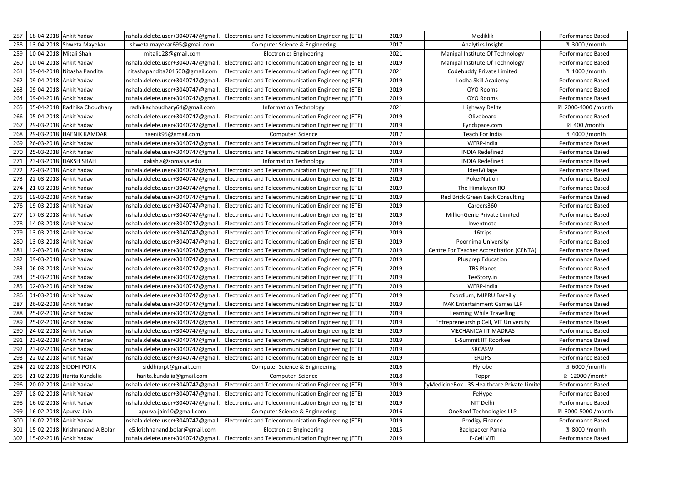| 257 | 18-04-2018 Ankit Yadav         |                                | nshala.delete.user+3040747@gmail  | Electronics and Telecommunication Engineering (ETE) | 2019 | Mediklik                                     | Performance Based          |
|-----|--------------------------------|--------------------------------|-----------------------------------|-----------------------------------------------------|------|----------------------------------------------|----------------------------|
| 258 |                                | 13-04-2018 Shweta Mayekar      | shweta.mayekar695@gmail.com       | <b>Computer Science &amp; Engineering</b>           | 2017 | Analytics Insight                            | <b>2 3000 / month</b>      |
| 259 | 10-04-2018 Mitali Shah         |                                | mitali128@gmail.com               | <b>Electronics Engineering</b>                      | 2021 | Manipal Institute Of Technology              | Performance Based          |
| 260 |                                | 10-04-2018 Ankit Yadav         | nshala.delete.user+3040747@gmail  | Electronics and Telecommunication Engineering (ETE) | 2019 | Manipal Institute Of Technology              | Performance Based          |
| 261 |                                | 09-04-2018 Nitasha Pandita     | nitashapandita201500@gmail.com    | Electronics and Telecommunication Engineering (ETE) | 2021 | Codebuddy Private Limited                    | <b>2 1000 / month</b>      |
| 262 | 09-04-2018 Ankit Yadav         |                                | nshala.delete.user+3040747@gmail  | Electronics and Telecommunication Engineering (ETE) | 2019 | Lodha Skill Academy                          | Performance Based          |
| 263 |                                | 09-04-2018 Ankit Yadav         | nshala.delete.user+3040747@gmai   | Electronics and Telecommunication Engineering (ETE) | 2019 | <b>OYO Rooms</b>                             | Performance Based          |
| 264 |                                | 09-04-2018 Ankit Yadav         | nshala.delete.user+3040747@gmai   | Electronics and Telecommunication Engineering (ETE) | 2019 | OYO Rooms                                    | Performance Based          |
| 265 |                                | 05-04-2018 Radhika Choudhary   | radhikachoudhary64@gmail.com      | <b>Information Technology</b>                       | 2021 | <b>Highway Delite</b>                        | <b>2 2000-4000 / month</b> |
| 266 | 05-04-2018 Ankit Yadav         |                                | nshala.delete.user+3040747@gmail  | Electronics and Telecommunication Engineering (ETE) | 2019 | Oliveboard                                   | Performance Based          |
| 267 | 29-03-2018 Ankit Yadav         |                                | nshala.delete.user+3040747@gmail  | Electronics and Telecommunication Engineering (ETE) | 2019 | Fyndspace.com                                | <b>图 400 / month</b>       |
| 268 |                                | 29-03-2018 HAENIK KAMDAR       | haenik95@gmail.com                | Computer Science                                    | 2017 | Teach For India                              | <b>图 4000 /month</b>       |
| 269 | 26-03-2018 Ankit Yadav         |                                | nshala.delete.user+3040747@gmail  | Electronics and Telecommunication Engineering (ETE) | 2019 | WERP-India                                   | Performance Based          |
| 270 | 25-03-2018 Ankit Yadav         |                                | nshala.delete.user+3040747@gmail  | Electronics and Telecommunication Engineering (ETE) | 2019 | <b>INDIA Redefined</b>                       | Performance Based          |
| 271 |                                | 23-03-2018 DAKSH SHAH          | daksh.s@somaiya.edu               | <b>Information Technology</b>                       | 2019 | <b>INDIA Redefined</b>                       | Performance Based          |
| 272 | 22-03-2018 Ankit Yadav         |                                | nshala.delete.user+3040747@gmail  | Electronics and Telecommunication Engineering (ETE) | 2019 | IdealVillage                                 | Performance Based          |
| 273 | 22-03-2018 Ankit Yadav         |                                | nshala.delete.user+3040747@gmail  | Electronics and Telecommunication Engineering (ETE) | 2019 | PokerNation                                  | Performance Based          |
| 274 | 21-03-2018 Ankit Yadav         |                                | nshala.delete.user+3040747@gmail  | Electronics and Telecommunication Engineering (ETE) | 2019 | The Himalayan ROI                            | Performance Based          |
| 275 |                                | 19-03-2018 Ankit Yadav         | nshala.delete.user+3040747@gmail  | Electronics and Telecommunication Engineering (ETE) | 2019 | Red Brick Green Back Consulting              | Performance Based          |
| 276 | 19-03-2018 Ankit Yadav         |                                | nshala.delete.user+3040747@gmail  | Electronics and Telecommunication Engineering (ETE) | 2019 | Careers360                                   | Performance Based          |
| 277 | 17-03-2018 Ankit Yadav         |                                | nshala.delete.user+3040747@gmail  | Electronics and Telecommunication Engineering (ETE) | 2019 | MillionGenie Private Limited                 | Performance Based          |
| 278 |                                | 14-03-2018 Ankit Yadav         | nshala.delete.user+3040747@gmail  | Electronics and Telecommunication Engineering (ETE) | 2019 | Inventnote                                   | Performance Based          |
| 279 | 13-03-2018 Ankit Yadav         |                                | nshala.delete.user+3040747@gmail  | Electronics and Telecommunication Engineering (ETE) | 2019 | 16trips                                      | Performance Based          |
| 280 | 13-03-2018 Ankit Yadav         |                                | nshala.delete.user+3040747@gmail  | Electronics and Telecommunication Engineering (ETE) | 2019 | Poornima University                          | Performance Based          |
| 281 |                                | 12-03-2018 Ankit Yadav         | nshala.delete.user+3040747@gmail  | Electronics and Telecommunication Engineering (ETE) | 2019 | Centre For Teacher Accreditation (CENTA)     | Performance Based          |
| 282 | 09-03-2018 Ankit Yadav         |                                | rnshala.delete.user+3040747@gmail | Electronics and Telecommunication Engineering (ETE) | 2019 | Plusprep Education                           | Performance Based          |
| 283 |                                | 06-03-2018 Ankit Yadav         | nshala.delete.user+3040747@gmai   | Electronics and Telecommunication Engineering (ETE) | 2019 | <b>TBS Planet</b>                            | Performance Based          |
| 284 |                                | 05-03-2018 Ankit Yadav         | nshala.delete.user+3040747@gmail  | Electronics and Telecommunication Engineering (ETE) | 2019 | TeeStory.in                                  | Performance Based          |
| 285 | 02-03-2018 Ankit Yadav         |                                | nshala.delete.user+3040747@gmail. | Electronics and Telecommunication Engineering (ETE) | 2019 | WERP-India                                   | Performance Based          |
| 286 |                                | 01-03-2018 Ankit Yadav         | nshala.delete.user+3040747@gmail  | Electronics and Telecommunication Engineering (ETE) | 2019 | Exordium, MJPRU Bareilly                     | Performance Based          |
| 287 |                                | 26-02-2018 Ankit Yadav         | nshala.delete.user+3040747@gmail. | Electronics and Telecommunication Engineering (ETE) | 2019 | <b>IVAK Entertainment Games LLP</b>          | Performance Based          |
| 288 | 25-02-2018 Ankit Yadav         |                                | nshala.delete.user+3040747@gmail  | Electronics and Telecommunication Engineering (ETE) | 2019 | Learning While Travelling                    | Performance Based          |
| 289 |                                | 25-02-2018 Ankit Yadav         | nshala.delete.user+3040747@gmail  | Electronics and Telecommunication Engineering (ETE) | 2019 | Entrepreneurship Cell, VIT University        | Performance Based          |
| 290 |                                | 24-02-2018 Ankit Yadav         | nshala.delete.user+3040747@gmail  | Electronics and Telecommunication Engineering (ETE) | 2019 | <b>MECHANICA IIT MADRAS</b>                  | Performance Based          |
| 291 |                                | 23-02-2018 Ankit Yadav         | nshala.delete.user+3040747@gmail  | Electronics and Telecommunication Engineering (ETE) | 2019 | E-Summit IIT Roorkee                         | Performance Based          |
| 292 | 23-02-2018 Ankit Yadav         |                                | nshala.delete.user+3040747@gmail  | Electronics and Telecommunication Engineering (ETE) | 2019 | SRCASW                                       | Performance Based          |
| 293 | 22-02-2018 Ankit Yadav         |                                | nshala.delete.user+3040747@gmail  | Electronics and Telecommunication Engineering (ETE) | 2019 | <b>ERUPS</b>                                 | Performance Based          |
| 294 |                                | 22-02-2018 SIDDHI POTA         | siddhiprpt@gmail.com              | <b>Computer Science &amp; Engineering</b>           | 2016 | Flyrobe                                      | <b>2 6000 / month</b>      |
| 295 |                                | 21-02-2018 Harita Kundalia     | harita.kundalia@gmail.com         | Computer Science                                    | 2018 | Toppr                                        | <b>2 12000 / month</b>     |
| 296 |                                | 20-02-2018 Ankit Yadav         | nshala.delete.user+3040747@gmail  | Electronics and Telecommunication Engineering (ETE) | 2019 | lyMedicineBox - 3S Healthcare Private Limite | Performance Based          |
| 297 |                                | 18-02-2018 Ankit Yadav         | nshala.delete.user+3040747@gmail  | Electronics and Telecommunication Engineering (ETE) | 2019 | FeHype                                       | Performance Based          |
| 298 |                                | 16-02-2018 Ankit Yadav         | nshala.delete.user+3040747@gmai   | Electronics and Telecommunication Engineering (ETE) | 2019 | NIT Delhi                                    | Performance Based          |
| 299 | 16-02-2018 Apurva Jain         |                                | apurva.jain10@gmail.com           | <b>Computer Science &amp; Engineering</b>           | 2016 | <b>OneRoof Technologies LLP</b>              | <b>2 3000-5000 / month</b> |
| 300 |                                | 16-02-2018 Ankit Yadav         | nshala.delete.user+3040747@gmail  | Electronics and Telecommunication Engineering (ETE) | 2019 | <b>Prodigy Finance</b>                       | Performance Based          |
| 301 |                                | 15-02-2018 Krishnanand A Bolar | e5.krishnanand.bolar@gmail.com    | <b>Electronics Engineering</b>                      | 2015 | Backpacker Panda                             | <b>2 8000 / month</b>      |
|     | 302   15-02-2018   Ankit Yadav |                                | nshala.delete.user+3040747@gmail. | Electronics and Telecommunication Engineering (ETE) | 2019 | E-Cell VJTI                                  | Performance Based          |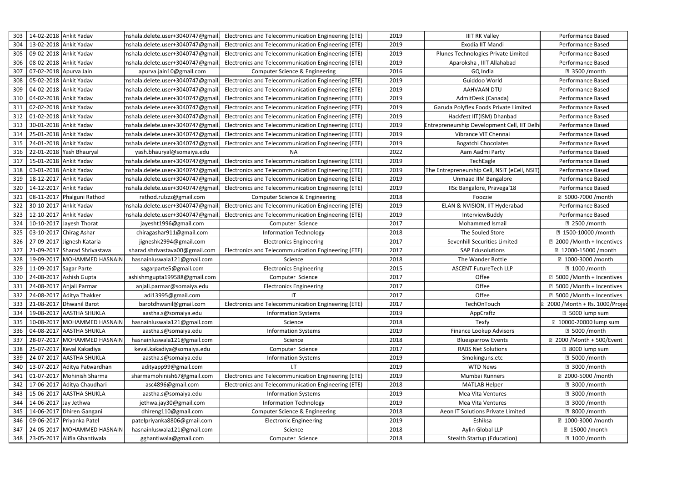| 303 | 14-02-2018 Ankit Yadav  |                               | nshala.delete.user+3040747@gmail. | Electronics and Telecommunication Engineering (ETE) | 2019 | <b>IIIT RK Valley</b>                         | Performance Based                  |
|-----|-------------------------|-------------------------------|-----------------------------------|-----------------------------------------------------|------|-----------------------------------------------|------------------------------------|
| 304 | 13-02-2018 Ankit Yadav  |                               | nshala.delete.user+3040747@gmail  | Electronics and Telecommunication Engineering (ETE) | 2019 | Exodia IIT Mandi                              | Performance Based                  |
| 305 | 09-02-2018 Ankit Yadav  |                               | nshala.delete.user+3040747@gmail. | Electronics and Telecommunication Engineering (ETE) | 2019 | Plunes Technologies Private Limited           | Performance Based                  |
| 306 | 08-02-2018 Ankit Yadav  |                               | nshala.delete.user+3040747@gmail. | Electronics and Telecommunication Engineering (ETE) | 2019 | Aparoksha, IIIT Allahabad                     | Performance Based                  |
| 307 | 07-02-2018 Apurva Jain  |                               | apurva.jain10@gmail.com           | <b>Computer Science &amp; Engineering</b>           | 2016 | GQ India                                      | <b>2 3500 /month</b>               |
| 308 | 05-02-2018 Ankit Yadav  |                               | nshala.delete.user+3040747@gmail  | Electronics and Telecommunication Engineering (ETE) | 2019 | Guiddoo World                                 | Performance Based                  |
| 309 | 04-02-2018 Ankit Yadav  |                               | nshala.delete.user+3040747@gmail  | Electronics and Telecommunication Engineering (ETE) | 2019 | <b>AAHVAAN DTU</b>                            | Performance Based                  |
| 310 | 04-02-2018 Ankit Yadav  |                               | nshala.delete.user+3040747@gmail. | Electronics and Telecommunication Engineering (ETE) | 2019 | AdmitDesk (Canada)                            | Performance Based                  |
| 311 | 02-02-2018 Ankit Yadav  |                               | nshala.delete.user+3040747@gmail. | Electronics and Telecommunication Engineering (ETE) | 2019 | Garuda Polyflex Foods Private Limited         | Performance Based                  |
| 312 | 01-02-2018 Ankit Yadav  |                               | nshala.delete.user+3040747@gmail. | Electronics and Telecommunication Engineering (ETE) | 2019 | Hackfest IIT(ISM) Dhanbad                     | Performance Based                  |
| 313 | 30-01-2018 Ankit Yadav  |                               | nshala.delete.user+3040747@gmail. | Electronics and Telecommunication Engineering (ETE) | 2019 | Entrepreneurship Development Cell, IIT Delh   | Performance Based                  |
| 314 | 25-01-2018 Ankit Yadav  |                               | nshala.delete.user+3040747@gmail  | Electronics and Telecommunication Engineering (ETE) | 2019 | Vibrance VIT Chennai                          | Performance Based                  |
| 315 | 24-01-2018 Ankit Yadav  |                               | nshala.delete.user+3040747@gmail. | Electronics and Telecommunication Engineering (ETE) | 2019 | <b>Bogatchi Chocolates</b>                    | Performance Based                  |
| 316 |                         | 22-01-2018 Yash Bhauryal      | yash.bhauryal@somaiya.edu         | <b>NA</b>                                           | 2022 | Aam Aadmi Party                               | Performance Based                  |
| 317 | 15-01-2018 Ankit Yadav  |                               | nshala.delete.user+3040747@gmail  | Electronics and Telecommunication Engineering (ETE) | 2019 | TechEagle                                     | Performance Based                  |
| 318 | 03-01-2018 Ankit Yadav  |                               | nshala.delete.user+3040747@gmail. | Electronics and Telecommunication Engineering (ETE) | 2019 | The Entrepreneurship Cell, NSIT (eCell, NSIT) | Performance Based                  |
| 319 | 18-12-2017 Ankit Yadav  |                               | nshala.delete.user+3040747@gmail  | Electronics and Telecommunication Engineering (ETE) | 2019 | <b>Unmaad IIM Bangalore</b>                   | Performance Based                  |
| 320 | 14-12-2017 Ankit Yadav  |                               | nshala.delete.user+3040747@gmail  | Electronics and Telecommunication Engineering (ETE) | 2019 | IISc Bangalore, Pravega'18                    | Performance Based                  |
| 321 |                         | 08-11-2017 Phalguni Rathod    | rathod.rulzzz@gmail.com           | <b>Computer Science &amp; Engineering</b>           | 2018 | Foozzie                                       | <b>2 5000-7000 / month</b>         |
| 322 | 30-10-2017 Ankit Yadav  |                               | nshala.delete.user+3040747@gmail  | Electronics and Telecommunication Engineering (ETE) | 2019 | ELAN & NVISION, IIT Hyderabad                 | Performance Based                  |
| 323 | 12-10-2017 Ankit Yadav  |                               | nshala.delete.user+3040747@gmail  | Electronics and Telecommunication Engineering (ETE) | 2019 | InterviewBuddy                                | Performance Based                  |
| 324 |                         | 10-10-2017 Jayesh Thorat      | jayesht1996@gmail.com             | Computer Science                                    | 2017 | <b>Mohammed Ismail</b>                        | <b>2 2500 /month</b>               |
| 325 | 03-10-2017 Chirag Ashar |                               | chiragashar911@gmail.com          | <b>Information Technology</b>                       | 2018 | The Souled Store                              | <b>2 1500-10000 / month</b>        |
| 326 |                         | 27-09-2017 Jignesh Kataria    | jigneshk2994@gmail.com            | <b>Electronics Engineering</b>                      | 2017 | Sevenhill Securities Limited                  | <b>2000 /Month + Incentives</b>    |
| 327 |                         | 21-09-2017 Sharad Shrivastava | sharad.shrivastava00@gmail.com    | Electronics and Telecommunication Engineering (ETE) | 2017 | <b>SAP Edusolutions</b>                       | <b>■ 12000-15000 / month</b>       |
| 328 |                         | 19-09-2017 MOHAMMED HASNAIN   | hasnainluswala121@gmail.com       | Science                                             | 2018 | The Wander Bottle                             | <b>2 1000-3000 / month</b>         |
| 329 | 11-09-2017 Sagar Parte  |                               | sagarparte5@gmail.com             | <b>Electronics Engineering</b>                      | 2015 | <b>ASCENT FutureTech LLP</b>                  | <b>图 1000 /month</b>               |
| 330 |                         | 24-08-2017 Ashish Gupta       | ashishmgupta199588@gmail.com      | Computer Science                                    | 2017 | Offee                                         | <b>2 5000 / Month + Incentives</b> |
| 331 |                         | 24-08-2017 Anjali Parmar      | anjali.parmar@somaiya.edu         | <b>Electronics Engineering</b>                      | 2017 | Offee                                         | <b>2 5000 /Month + Incentives</b>  |
| 332 |                         | 24-08-2017 Aditya Thakker     | adi13995@gmail.com                | IT                                                  | 2017 | Offee                                         | <b>2 5000 / Month + Incentives</b> |
| 333 |                         | 21-08-2017 Dhwanil Barot      | barotdhwanil@gmail.com            | Electronics and Telecommunication Engineering (ETE) | 2017 | TechOnTouch                                   | ? 2000 / Month + Rs. 1000/Projeo   |
| 334 |                         | 19-08-2017 AASTHA SHUKLA      | aastha.s@somaiya.edu              | <b>Information Systems</b>                          | 2019 | AppCraftz                                     | <b>2 5000 lump sum</b>             |
| 335 |                         | 10-08-2017 MOHAMMED HASNAIN   | hasnainluswala121@gmail.com       | Science                                             | 2018 | Texfy                                         | <b>2 10000-20000 lump sum</b>      |
| 336 |                         | 04-08-2017 AASTHA SHUKLA      | aastha.s@somaiya.edu              | <b>Information Systems</b>                          | 2019 | Finance Lookup Advisors                       | <b>2 5000 /month</b>               |
| 337 |                         | 28-07-2017 MOHAMMED HASNAIN   | hasnainluswala121@gmail.com       | Science                                             | 2018 | <b>Bluesparrow Events</b>                     | 2 2000 / Month + 500/Event         |
| 338 |                         | 25-07-2017 Keval Kakadiya     | keval.kakadiya@somaiya.edu        | Computer Science                                    | 2017 | <b>RABS Net Solutions</b>                     | 2 8000 lump sum                    |
| 339 |                         | 24-07-2017 AASTHA SHUKLA      | aastha.s@somaiya.edu              | <b>Information Systems</b>                          | 2019 | Smokinguns.etc                                | <b>2 5000 / month</b>              |
| 340 |                         | 13-07-2017 Aditya Patwardhan  | adityapp99@gmail.com              | $1.$ T                                              | 2019 | <b>WTD News</b>                               | <b>2 3000 / month</b>              |
| 341 |                         | 01-07-2017 Mohinish Sharma    | sharmamohinish67@gmail.com        | Electronics and Telecommunication Engineering (ETE) | 2019 | Mumbai Runners                                | <b>2000-5000 /month</b>            |
| 342 |                         | 17-06-2017 Aditya Chaudhari   | asc4896@gmail.com                 | Electronics and Telecommunication Engineering (ETE) | 2018 | <b>MATLAB Helper</b>                          | <b>2 3000 / month</b>              |
| 343 |                         | 15-06-2017 AASTHA SHUKLA      | aastha.s@somaiya.edu              | <b>Information Systems</b>                          | 2019 | Mea Vita Ventures                             | <b>2 3000 / month</b>              |
| 344 | 14-06-2017 Jay Jethwa   |                               | jethwa.jay30@gmail.com            | <b>Information Technology</b>                       | 2019 | Mea Vita Ventures                             | <b>2 3000 / month</b>              |
| 345 |                         | 14-06-2017 Dhiren Gangani     | dhireng110@gmail.com              | Computer Science & Engineering                      | 2018 | Aeon IT Solutions Private Limited             | <b>2 8000 / month</b>              |
| 346 |                         | 09-06-2017 Priyanka Patel     | patelpriyanka8806@gmail.com       | <b>Electronic Engineering</b>                       | 2019 | Eshiksa                                       | <b>2 1000-3000 / month</b>         |
| 347 |                         | 24-05-2017 MOHAMMED HASNAIN   | hasnainluswala121@gmail.com       | Science                                             | 2018 | Aylin Global LLP                              | <b>2 15000 / month</b>             |
| 348 |                         | 23-05-2017 Alifia Ghantiwala  | gghantiwala@gmail.com             | Computer Science                                    | 2018 | <b>Stealth Startup (Education)</b>            | <b>2 1000 / month</b>              |